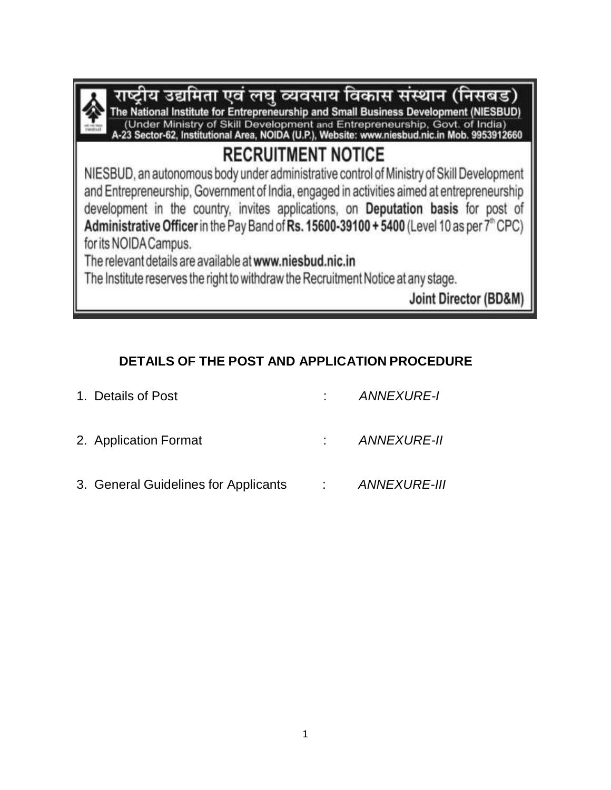

राष्ट्रीय उद्यमिता एवं लघु व्यवसाय विकास संस्थान (निसंबंड) The National Institute for Entrepreneurship and Small Business Development (NIESBUD) (Under Ministry of Skill Development and Entrepreneurship, Govt. of India)<br>-23 Sector-62, Institutional Area, NOIDA (U.P.), Website: www.niesbud.nic.in Mob. 9953912660

# **RECRUITMENT NOTICE**

NIESBUD, an autonomous body under administrative control of Ministry of Skill Development and Entrepreneurship, Government of India, engaged in activities aimed at entrepreneurship development in the country, invites applications, on Deputation basis for post of Administrative Officer in the Pay Band of Rs. 15600-39100 + 5400 (Level 10 as per  $7^{\circ}$  CPC) for its NOIDA Campus.

The relevant details are available at www.niesbud.nic.in

The Institute reserves the right to withdraw the Recruitment Notice at any stage.

Joint Director (BD&M)

# **DETAILS OF THE POST AND APPLICATION PROCEDURE**

| 1. Details of Post                   | ANNEXURE-I     |
|--------------------------------------|----------------|
| 2. Application Format                | : ANNEXURE-II  |
| 3. General Guidelines for Applicants | : ANNEXURE-III |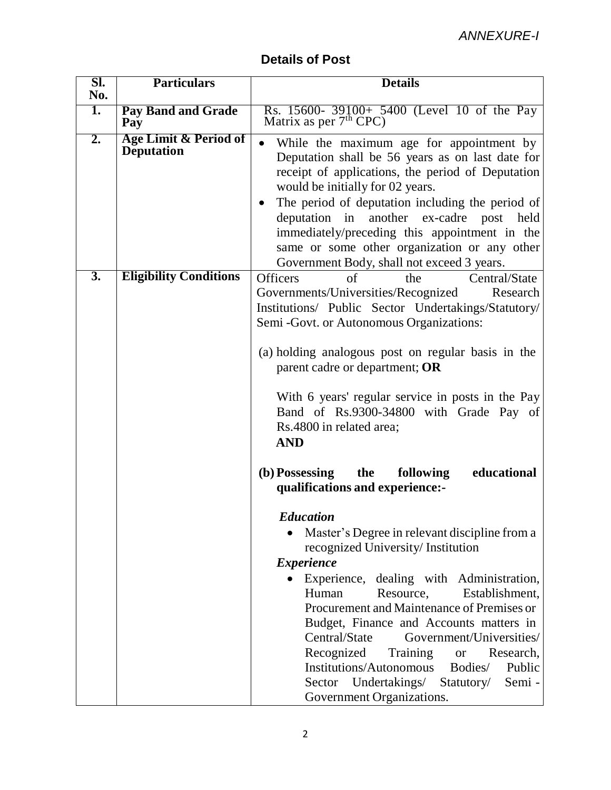| <b>Details of Post</b> |  |  |
|------------------------|--|--|
|------------------------|--|--|

| SI.              | <b>Particulars</b>                                    | <b>Details</b>                                                                                                                                                                                                                                                                                                                                                                                                                                                                                                                                                                                                                      |
|------------------|-------------------------------------------------------|-------------------------------------------------------------------------------------------------------------------------------------------------------------------------------------------------------------------------------------------------------------------------------------------------------------------------------------------------------------------------------------------------------------------------------------------------------------------------------------------------------------------------------------------------------------------------------------------------------------------------------------|
| No.              |                                                       |                                                                                                                                                                                                                                                                                                                                                                                                                                                                                                                                                                                                                                     |
| 1.               | <b>Pay Band and Grade</b><br>Pay                      | Rs. 15600- 39100+ 5400 (Level 10 of the Pay<br>Matrix as per $7th$ CPC)                                                                                                                                                                                                                                                                                                                                                                                                                                                                                                                                                             |
| 2.               | <b>Age Limit &amp; Period of</b><br><b>Deputation</b> | While the maximum age for appointment by<br>Deputation shall be 56 years as on last date for<br>receipt of applications, the period of Deputation<br>would be initially for 02 years.<br>The period of deputation including the period of<br>another ex-cadre<br>deputation in<br>post<br>held<br>immediately/preceding this appointment in the<br>same or some other organization or any other<br>Government Body, shall not exceed 3 years.                                                                                                                                                                                       |
| $\overline{3}$ . | <b>Eligibility Conditions</b>                         | <b>Officers</b><br>Central/State<br>of<br>the<br>Governments/Universities/Recognized<br>Research<br>Institutions/ Public Sector Undertakings/Statutory/<br>Semi - Govt. or Autonomous Organizations:<br>(a) holding analogous post on regular basis in the<br>parent cadre or department; OR<br>With 6 years' regular service in posts in the Pay<br>Band of Rs.9300-34800 with Grade Pay of<br>Rs.4800 in related area;<br><b>AND</b>                                                                                                                                                                                              |
|                  |                                                       | the<br>educational<br>(b) Possessing<br>following<br>qualifications and experience:-<br><b>Education</b><br>Master's Degree in relevant discipline from a<br>recognized University/ Institution<br><i>Experience</i><br>Experience, dealing with Administration,<br>Resource,<br>Establishment,<br>Human<br>Procurement and Maintenance of Premises or<br>Budget, Finance and Accounts matters in<br>Central/State<br>Government/Universities/<br>Recognized<br>Training<br>Research,<br><b>or</b><br><b>Institutions/Autonomous</b><br>Bodies/<br>Public<br>Sector Undertakings/ Statutory/<br>Semi -<br>Government Organizations. |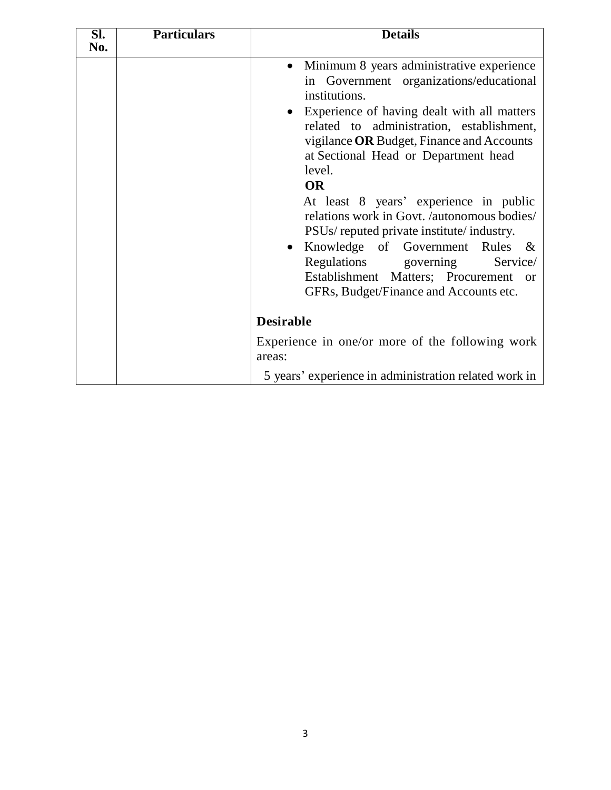| SI.<br>No. | <b>Particulars</b> | <b>Details</b>                                                                                                                                                                                                                                                                                                                                                                                                                                                                                                                                                                                                                  |
|------------|--------------------|---------------------------------------------------------------------------------------------------------------------------------------------------------------------------------------------------------------------------------------------------------------------------------------------------------------------------------------------------------------------------------------------------------------------------------------------------------------------------------------------------------------------------------------------------------------------------------------------------------------------------------|
|            |                    | Minimum 8 years administrative experience<br>$\bullet$<br>in Government organizations/educational<br>institutions.<br>Experience of having dealt with all matters<br>related to administration, establishment,<br>vigilance OR Budget, Finance and Accounts<br>at Sectional Head or Department head<br>level.<br><b>OR</b><br>At least 8 years' experience in public<br>relations work in Govt. /autonomous bodies/<br>PSUs/ reputed private institute/ industry.<br>Knowledge of Government Rules &<br>Regulations governing<br>Service/<br>Establishment Matters; Procurement<br>or<br>GFRs, Budget/Finance and Accounts etc. |
|            |                    | <b>Desirable</b>                                                                                                                                                                                                                                                                                                                                                                                                                                                                                                                                                                                                                |
|            |                    | Experience in one/or more of the following work<br>areas:                                                                                                                                                                                                                                                                                                                                                                                                                                                                                                                                                                       |
|            |                    | 5 years' experience in administration related work in                                                                                                                                                                                                                                                                                                                                                                                                                                                                                                                                                                           |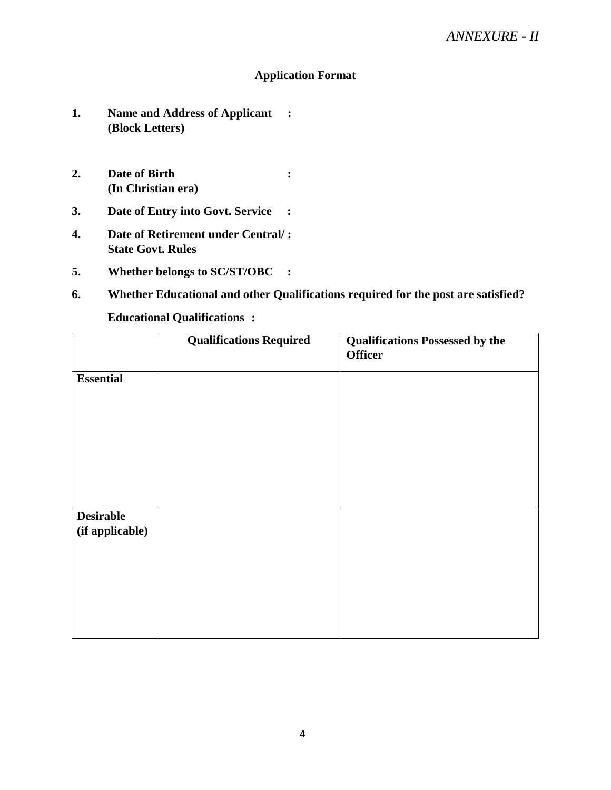#### **Application Format**

- **1. Name and Address of Applicant : (Block Letters)**
- **2. Date of Birth : (In Christian era)**
- **3. Date of Entry into Govt. Service :**
- **4. Date of Retirement under Central/ : State Govt. Rules**
- **5. Whether belongs to SC/ST/OBC :**
- **6. Whether Educational and other Qualifications required for the post are satisfied?**

#### **Educational Qualifications :**

|                  | <b>Qualifications Required</b> | <b>Qualifications Possessed by the</b><br><b>Officer</b> |
|------------------|--------------------------------|----------------------------------------------------------|
|                  |                                |                                                          |
| <b>Essential</b> |                                |                                                          |
|                  |                                |                                                          |
|                  |                                |                                                          |
|                  |                                |                                                          |
|                  |                                |                                                          |
|                  |                                |                                                          |
|                  |                                |                                                          |
|                  |                                |                                                          |
|                  |                                |                                                          |
| <b>Desirable</b> |                                |                                                          |
| (if applicable)  |                                |                                                          |
|                  |                                |                                                          |
|                  |                                |                                                          |
|                  |                                |                                                          |
|                  |                                |                                                          |
|                  |                                |                                                          |
|                  |                                |                                                          |
|                  |                                |                                                          |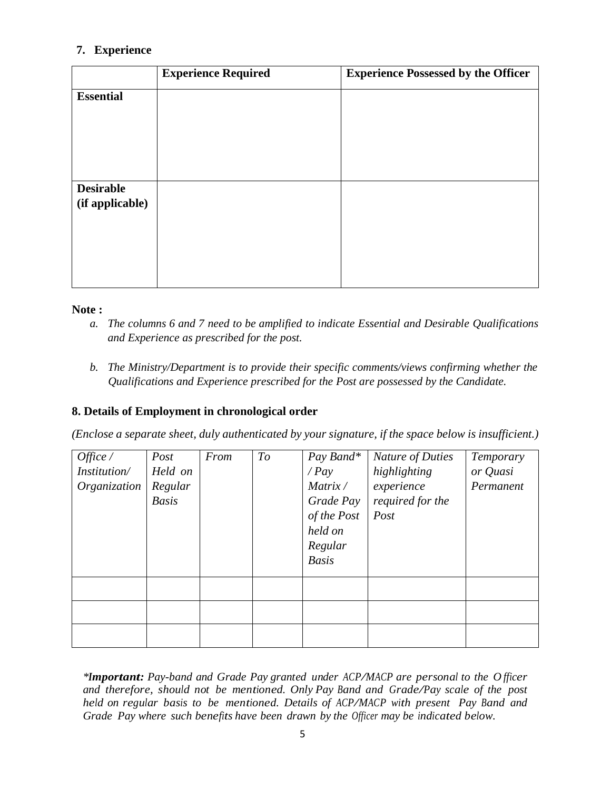# **7. Experience**

|                  | <b>Experience Required</b> | <b>Experience Possessed by the Officer</b> |
|------------------|----------------------------|--------------------------------------------|
| <b>Essential</b> |                            |                                            |
|                  |                            |                                            |
|                  |                            |                                            |
|                  |                            |                                            |
| <b>Desirable</b> |                            |                                            |
| (if applicable)  |                            |                                            |
|                  |                            |                                            |
|                  |                            |                                            |
|                  |                            |                                            |

#### **Note :**

- *a. The columns 6 and 7 need to be amplified to indicate Essential and Desirable Qualifications and Experience as prescribed for the post.*
- *b. The Ministry/Department is to provide their specific comments/views confirming whether the Qualifications and Experience prescribed for the Post are possessed by the Candidate.*

#### **8. Details of Employment in chronological order**

*(Enclose a separate sheet, duly authenticated by your signature, if the space below is insufficient.)*

| Office /<br>Institution/<br>Organization | Post<br>Held on<br>Regular<br><b>Basis</b> | From | To | Pay Band*<br>$\angle Pay$<br>Matrix /<br>Grade Pay<br>of the Post<br>held on<br>Regular<br><b>Basis</b> | Nature of Duties<br>highlighting<br>experience<br>required for the<br>Post | Temporary<br>or Quasi<br>Permanent |
|------------------------------------------|--------------------------------------------|------|----|---------------------------------------------------------------------------------------------------------|----------------------------------------------------------------------------|------------------------------------|
|                                          |                                            |      |    |                                                                                                         |                                                                            |                                    |
|                                          |                                            |      |    |                                                                                                         |                                                                            |                                    |
|                                          |                                            |      |    |                                                                                                         |                                                                            |                                    |

*\*Important: Pay-band and Grade Pay granted under ACP/MACP are personal to the O <sup>f</sup> icer and therefore, should not be mentioned. Only Pay Band and Grade/Pay scale of the post held on regular basis to be mentioned. Details of ACP/MACP with present Pay Band and Grade Pay where such benefits have been drawn by the Officer may be indicated below.*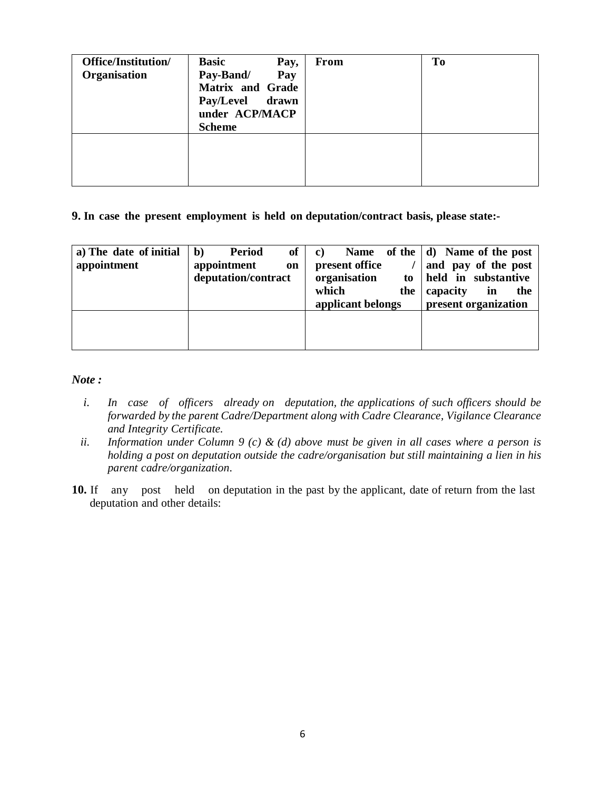| Office/Institution/<br>Organisation | <b>Basic</b><br>Pay,<br>Pay-Band/<br>Pay<br><b>Matrix and Grade</b><br>Pay/Level drawn<br>under ACP/MACP<br><b>Scheme</b> | <b>From</b> | <b>To</b> |
|-------------------------------------|---------------------------------------------------------------------------------------------------------------------------|-------------|-----------|
|                                     |                                                                                                                           |             |           |

**9. In case the present employment is held on deputation/contract basis, please state:-**

| a) The date of initial<br>appointment | $\mathbf{b}$<br>of<br><b>Period</b><br>appointment<br>on<br>deputation/contract | <b>Name</b><br>$\bf c)$<br>present office<br>organisation<br>to<br>which<br>the<br>applicant belongs | of the $ d $ Name of the post<br>and pay of the post<br>held in substantive<br>the<br>capacity<br>in<br>present organization |
|---------------------------------------|---------------------------------------------------------------------------------|------------------------------------------------------------------------------------------------------|------------------------------------------------------------------------------------------------------------------------------|
|                                       |                                                                                 |                                                                                                      |                                                                                                                              |

*Note :*

- *i. In case of officers already on deputation, the applications of such officers should be forwarded by the parent Cadre/Department along with Cadre Clearance, Vigilance Clearance and Integrity Certificate.*
- ii. Information under Column 9 (c) & (d) above must be given in all cases where a person is *holding a post on deputation outside the cadre/organisation but still maintaining a lien in his parent cadre/organization.*
- **10.** If any post held on deputation in the past by the applicant, date of return from the last deputation and other details: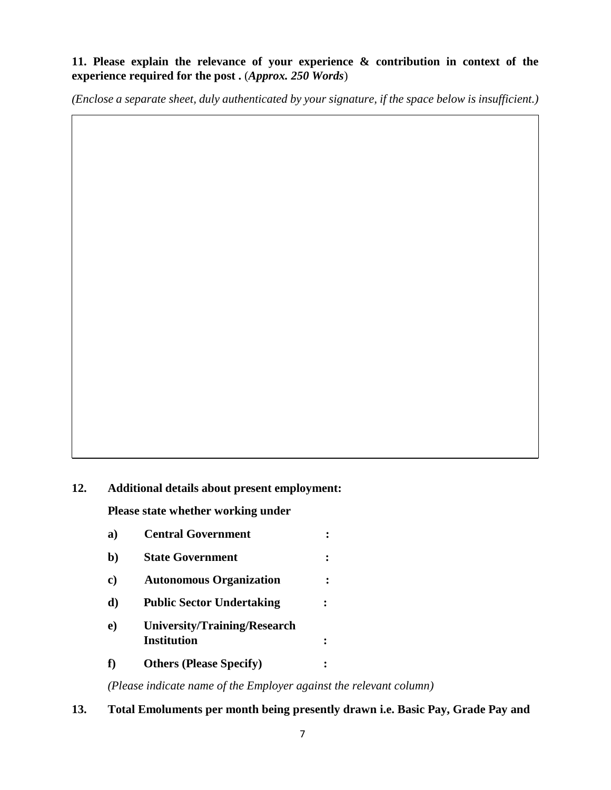#### **11. Please explain the relevance of your experience & contribution in context of the experience required for the post .** (*Approx. 250 Words*)

*(Enclose a separate sheet, duly authenticated by your signature, if the space below is insufficient.)*

#### **12. Additional details about present employment:**

**Please state whether working under**

- **a) Central Government :**
- **b**) State Government :
- **c) Autonomous Organization :**
- **d) Public Sector Undertaking :**
- **e) University/Training/Research Institution :**
- **f) Others (Please Specify) :**

*(Please indicate name of the Employer against the relevant column)*

**13. Total Emoluments per month being presently drawn i.e. Basic Pay, Grade Pay and**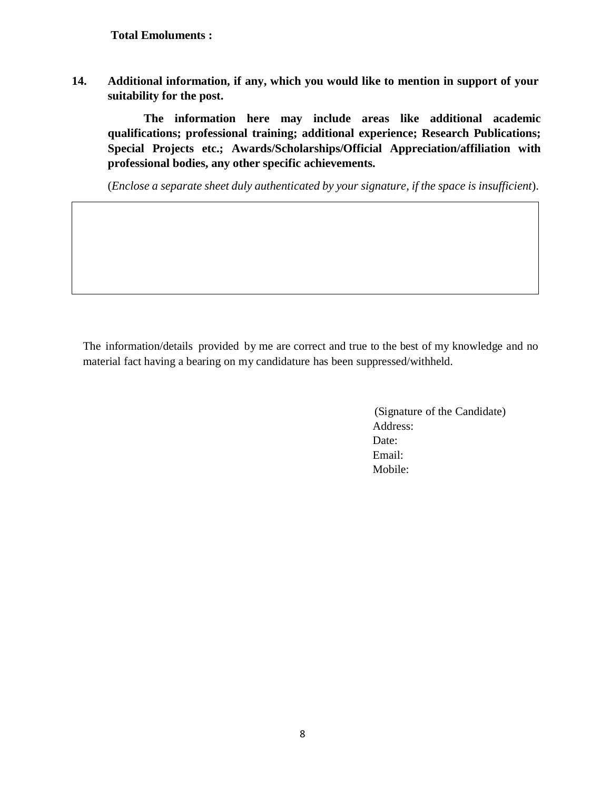**Total Emoluments :**

**14. Additional information, if any, which you would like to mention in support of your suitability for the post.**

**The information here may include areas like additional academic qualifications; professional training; additional experience; Research Publications; Special Projects etc.; Awards/Scholarships/Official Appreciation/affiliation with professional bodies, any other specific achievements.**

(*Enclose a separate sheet duly authenticated by your signature, if the space is insufficient*).

The information/details provided by me are correct and true to the best of my knowledge and no material fact having a bearing on my candidature has been suppressed/withheld.

> (Signature of the Candidate) Address: Date: Email: Mobile: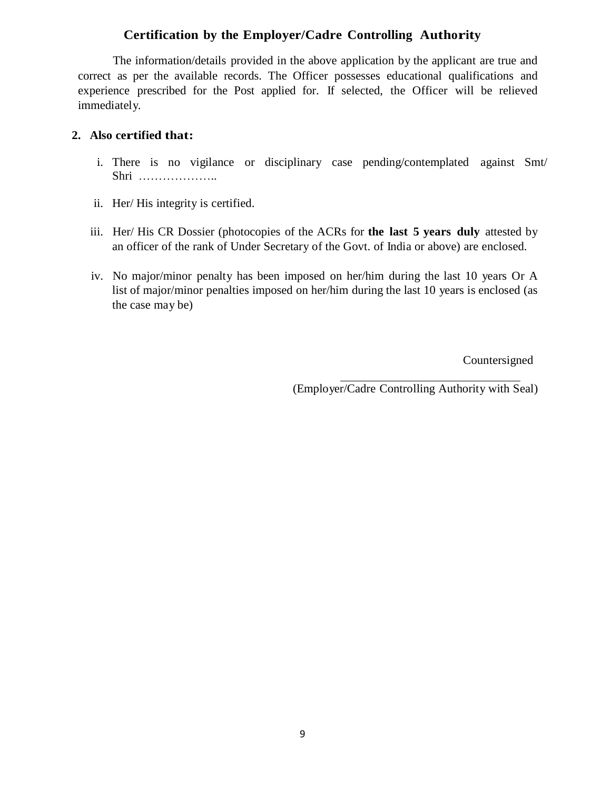### **Certification by the Employer/Cadre Controlling Authority**

The information/details provided in the above application by the applicant are true and correct as per the available records. The Officer possesses educational qualifications and experience prescribed for the Post applied for. If selected, the Officer will be relieved immediately.

#### **2. Also certified that:**

- i. There is no vigilance or disciplinary case pending/contemplated against Smt/ Shri ………………..
- ii. Her/ His integrity is certified.
- iii. Her/ His CR Dossier (photocopies of the ACRs for **the last 5 years duly** attested by an officer of the rank of Under Secretary of the Govt. of India or above) are enclosed.
- iv. No major/minor penalty has been imposed on her/him during the last 10 years Or A list of major/minor penalties imposed on her/him during the last 10 years is enclosed (as the case may be)

Countersigned

(Employer/Cadre Controlling Authority with Seal)